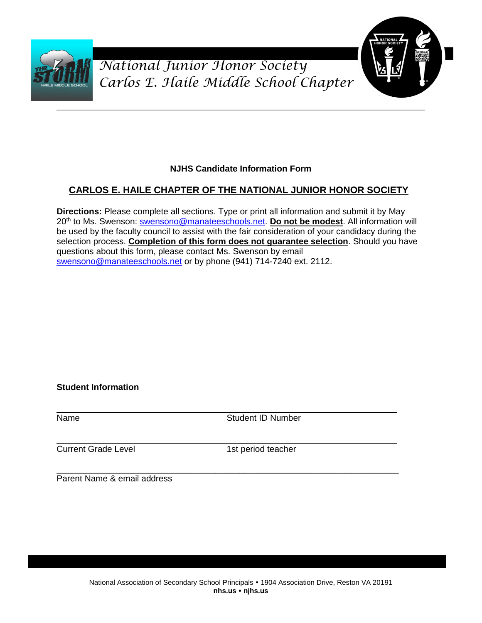



### **NJHS Candidate Information Form**

### **CARLOS E. HAILE CHAPTER OF THE NATIONAL JUNIOR HONOR SOCIETY**

**Directions:** Please complete all sections. Type or print all information and submit it by May 20th to Ms. Swenson: [swensono@manateeschools.net.](mailto:swensono@manateeschools.net) **Do not be modest**. All information will be used by the faculty council to assist with the fair consideration of your candidacy during the selection process. **Completion of this form does not guarantee selection**. Should you have questions about this form, please contact Ms. Swenson by email [swensono@manateeschools.net](mailto:swensono@manateeschools.net) or by phone (941) 714-7240 ext. 2112.

**Student Information**

Name Student ID Number

Current Grade Level 1st period teacher

Parent Name & email address

\_\_\_\_\_\_\_\_\_\_\_\_\_\_\_\_\_\_\_\_\_\_\_\_\_\_\_\_\_\_\_\_\_\_\_\_\_\_\_\_\_\_\_\_\_\_\_\_\_\_\_\_\_\_\_\_\_\_\_\_\_\_\_\_\_\_\_\_\_\_\_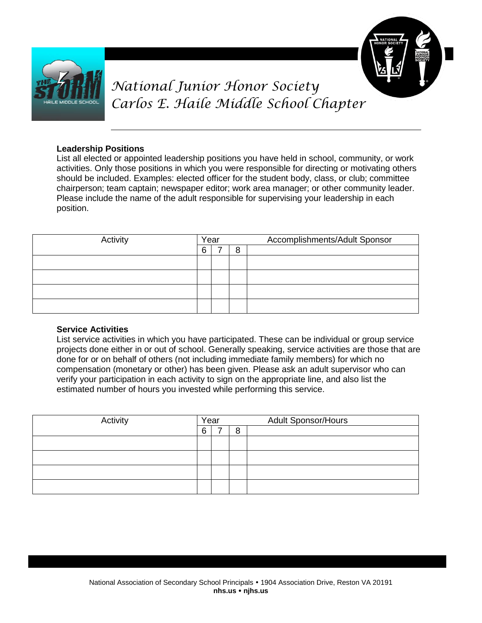



#### **Leadership Positions**

List all elected or appointed leadership positions you have held in school, community, or work activities. Only those positions in which you were responsible for directing or motivating others should be included. Examples: elected officer for the student body, class, or club; committee chairperson; team captain; newspaper editor; work area manager; or other community leader. Please include the name of the adult responsible for supervising your leadership in each position.

| Activity | Year |  |   | Accomplishments/Adult Sponsor |  |  |
|----------|------|--|---|-------------------------------|--|--|
|          |      |  | 8 |                               |  |  |
|          |      |  |   |                               |  |  |
|          |      |  |   |                               |  |  |
|          |      |  |   |                               |  |  |
|          |      |  |   |                               |  |  |

#### **Service Activities**

List service activities in which you have participated. These can be individual or group service projects done either in or out of school. Generally speaking, service activities are those that are done for or on behalf of others (not including immediate family members) for which no compensation (monetary or other) has been given. Please ask an adult supervisor who can verify your participation in each activity to sign on the appropriate line, and also list the estimated number of hours you invested while performing this service.

| Activity |  | Year |   | <b>Adult Sponsor/Hours</b> |
|----------|--|------|---|----------------------------|
|          |  |      | 8 |                            |
|          |  |      |   |                            |
|          |  |      |   |                            |
|          |  |      |   |                            |
|          |  |      |   |                            |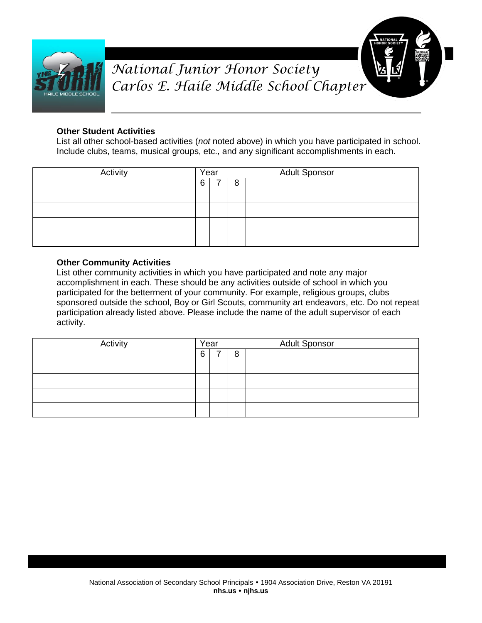



#### **Other Student Activities**

List all other school-based activities (*not* noted above) in which you have participated in school. Include clubs, teams, musical groups, etc., and any significant accomplishments in each.

| Activity | Year<br>6<br>8 |  | <b>Adult Sponsor</b> |
|----------|----------------|--|----------------------|
|          |                |  |                      |
|          |                |  |                      |
|          |                |  |                      |
|          |                |  |                      |
|          |                |  |                      |

#### **Other Community Activities**

List other community activities in which you have participated and note any major accomplishment in each. These should be any activities outside of school in which you participated for the betterment of your community. For example, religious groups, clubs sponsored outside the school, Boy or Girl Scouts, community art endeavors, etc. Do not repeat participation already listed above. Please include the name of the adult supervisor of each activity.

| Activity | Year |  |   | <b>Adult Sponsor</b> |
|----------|------|--|---|----------------------|
|          | 6    |  | 8 |                      |
|          |      |  |   |                      |
|          |      |  |   |                      |
|          |      |  |   |                      |
|          |      |  |   |                      |